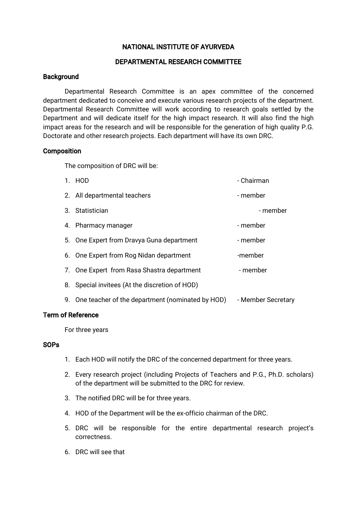# NATIONAL INSTITUTE OF AYURVEDA

# DEPARTMENTAL RESEARCH COMMITTEE

# **Background**

Departmental Research Committee is an apex committee of the concerned department dedicated to conceive and execute various research projects of the department. Departmental Research Committee will work according to research goals settled by the Department and will dedicate itself for the high impact research. It will also find the high impact areas for the research and will be responsible for the generation of high quality P.G. Doctorate and other research projects. Each department will have its own DRC.

### **Composition**

The composition of DRC will be:

| 1. HOD                                              | - Chairman         |
|-----------------------------------------------------|--------------------|
| 2. All departmental teachers                        | - member           |
| 3. Statistician                                     | - member           |
| 4. Pharmacy manager                                 | - member           |
| 5. One Expert from Dravya Guna department           | - member           |
| 6. One Expert from Rog Nidan department             | -member            |
| 7. One Expert from Rasa Shastra department          | - member           |
| 8. Special invitees (At the discretion of HOD)      |                    |
| 9. One teacher of the department (nominated by HOD) | - Member Secretary |

## **Term of Reference**

For three years

# **SOPs**

- 1. Each HOD will notify the DRC of the concerned department for three years.
- 2. Every research project (including Projects of Teachers and P.G., Ph.D. scholars) of the department will be submitted to the DRC for review.
- 3. The notified DRC will be for three years.
- 4. HOD of the Department will be the ex-officio chairman of the DRC.
- 5. DRC will be responsible for the entire departmental research project's correctness.
- 6.DRCwillseethat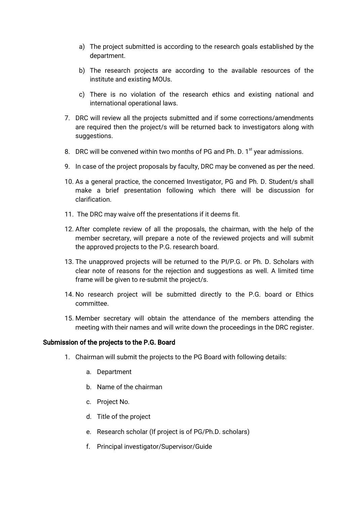- a) The project submitted is according to the research goals established by the department.
- b) The research projects are according to the available resources of the institute and existing MOUs.
- c) There is no violation of the research ethics and existing national and international operational laws.
- 7. DRC will review all the projects submitted and if some corrections/amendments are required then the project/s will be returned back to investigators along with suggestions.
- 8. DRC will be convened within two months of PG and Ph. D. 1<sup>st</sup> year admissions.
- 9. In case of the project proposals by faculty, DRC may be convened as per the need.
- 10. As a general practice, the concerned Investigator, PG and Ph. D. Student/s shall make a brief presentation following which there will be discussion for clarification.
- 11. The DRC may waive off the presentations if it deems fit.
- 12. After complete review of all the proposals, the chairman, with the help of the member secretary, will prepare a note of the reviewed projects and will submit the approved projects to the P.G. research board.
- 13. The unapproved projects will be returned to the PI/P.G. or Ph. D. Scholars with clear note of reasons for the rejection and suggestions as well. A limited time frame will be given to re-submit the project/s.
- 14. No research project will be submitted directly to the P.G. board or Ethics committee.
- 15. Member secretary will obtain the attendance of the members attending the meeting with their names and will write down the proceedings in the DRC register.

### Submission of the projects to the P.G. Board

- 1. Chairman will submit the projects to the PG Board with following details:
	- a.Department
	- b. Name of the chairman
	- c. Project No.
	- d. Title of the project
	- e. Research scholar (If project is of PG/Ph.D. scholars)
	- f. Principalinvestigator/Supervisor/Guide